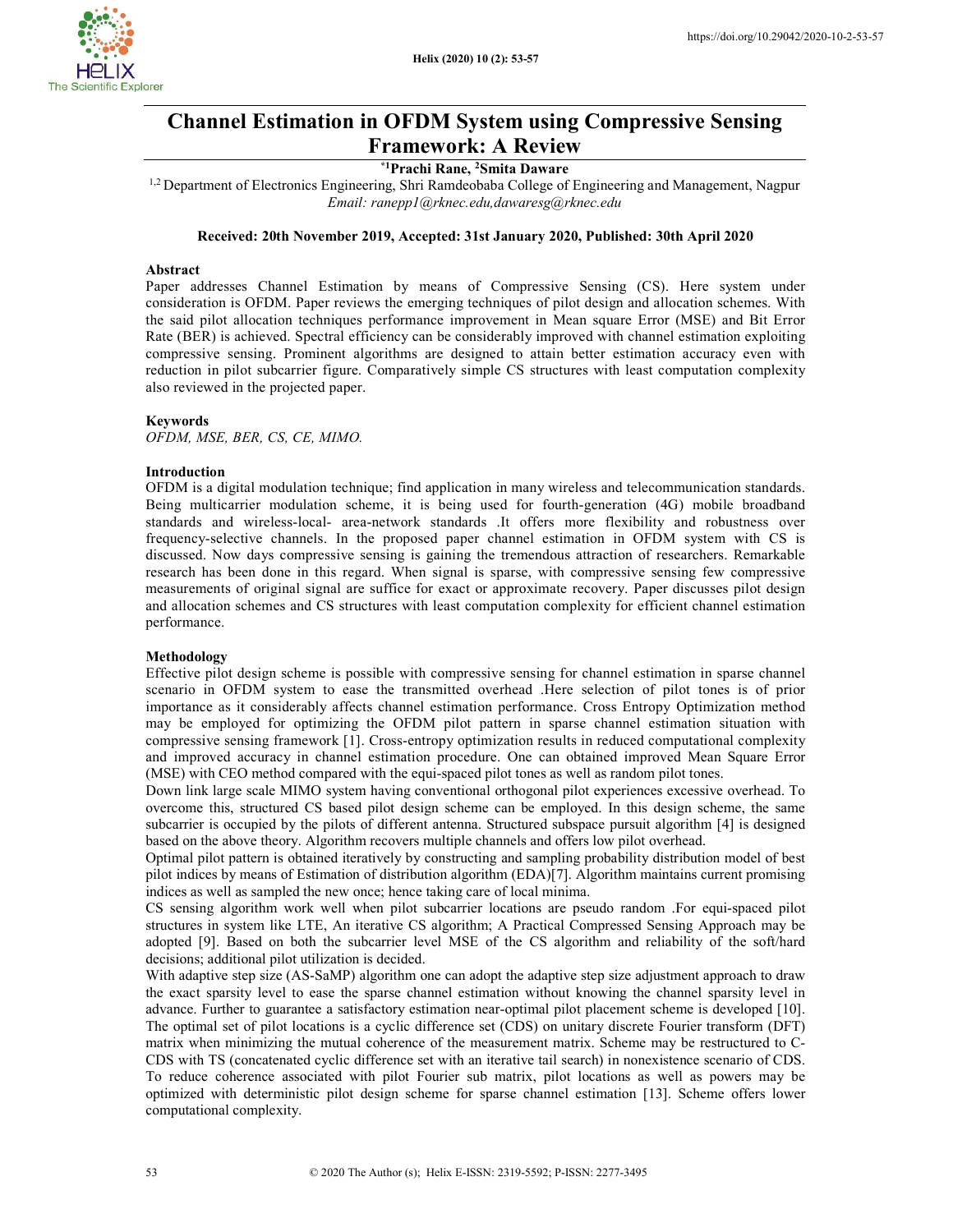

# Channel Estimation in OFDM System using Compressive Sensing Framework: A Review

## \*1Prachi Rane, <sup>2</sup>Smita Daware

<sup>1,2</sup> Department of Electronics Engineering, Shri Ramdeobaba College of Engineering and Management, Nagpur Email: ranepp1@rknec.edu,dawaresg@rknec.edu

## Received: 20th November 2019, Accepted: 31st January 2020, Published: 30th April 2020

#### Abstract

Paper addresses Channel Estimation by means of Compressive Sensing (CS). Here system under consideration is OFDM. Paper reviews the emerging techniques of pilot design and allocation schemes. With the said pilot allocation techniques performance improvement in Mean square Error (MSE) and Bit Error Rate (BER) is achieved. Spectral efficiency can be considerably improved with channel estimation exploiting compressive sensing. Prominent algorithms are designed to attain better estimation accuracy even with reduction in pilot subcarrier figure. Comparatively simple CS structures with least computation complexity also reviewed in the projected paper.

#### Keywords

OFDM, MSE, BER, CS, CE, MIMO.

#### Introduction

OFDM is a digital modulation technique; find application in many wireless and telecommunication standards. Being multicarrier modulation scheme, it is being used for fourth-generation (4G) mobile broadband standards and wireless-local- area-network standards .It offers more flexibility and robustness over frequency-selective channels. In the proposed paper channel estimation in OFDM system with CS is discussed. Now days compressive sensing is gaining the tremendous attraction of researchers. Remarkable research has been done in this regard. When signal is sparse, with compressive sensing few compressive measurements of original signal are suffice for exact or approximate recovery. Paper discusses pilot design and allocation schemes and CS structures with least computation complexity for efficient channel estimation performance.

## Methodology

Effective pilot design scheme is possible with compressive sensing for channel estimation in sparse channel scenario in OFDM system to ease the transmitted overhead .Here selection of pilot tones is of prior importance as it considerably affects channel estimation performance. Cross Entropy Optimization method may be employed for optimizing the OFDM pilot pattern in sparse channel estimation situation with compressive sensing framework [1]. Cross-entropy optimization results in reduced computational complexity and improved accuracy in channel estimation procedure. One can obtained improved Mean Square Error (MSE) with CEO method compared with the equi-spaced pilot tones as well as random pilot tones.

Down link large scale MIMO system having conventional orthogonal pilot experiences excessive overhead. To overcome this, structured CS based pilot design scheme can be employed. In this design scheme, the same subcarrier is occupied by the pilots of different antenna. Structured subspace pursuit algorithm [4] is designed based on the above theory. Algorithm recovers multiple channels and offers low pilot overhead.

Optimal pilot pattern is obtained iteratively by constructing and sampling probability distribution model of best pilot indices by means of Estimation of distribution algorithm (EDA)[7]. Algorithm maintains current promising indices as well as sampled the new once; hence taking care of local minima.

CS sensing algorithm work well when pilot subcarrier locations are pseudo random .For equi-spaced pilot structures in system like LTE, An iterative CS algorithm; A Practical Compressed Sensing Approach may be adopted [9]. Based on both the subcarrier level MSE of the CS algorithm and reliability of the soft/hard decisions; additional pilot utilization is decided.

With adaptive step size (AS-SaMP) algorithm one can adopt the adaptive step size adjustment approach to draw the exact sparsity level to ease the sparse channel estimation without knowing the channel sparsity level in advance. Further to guarantee a satisfactory estimation near-optimal pilot placement scheme is developed [10]. The optimal set of pilot locations is a cyclic difference set (CDS) on unitary discrete Fourier transform (DFT) matrix when minimizing the mutual coherence of the measurement matrix. Scheme may be restructured to C-CDS with TS (concatenated cyclic difference set with an iterative tail search) in nonexistence scenario of CDS. To reduce coherence associated with pilot Fourier sub matrix, pilot locations as well as powers may be optimized with deterministic pilot design scheme for sparse channel estimation [13]. Scheme offers lower computational complexity.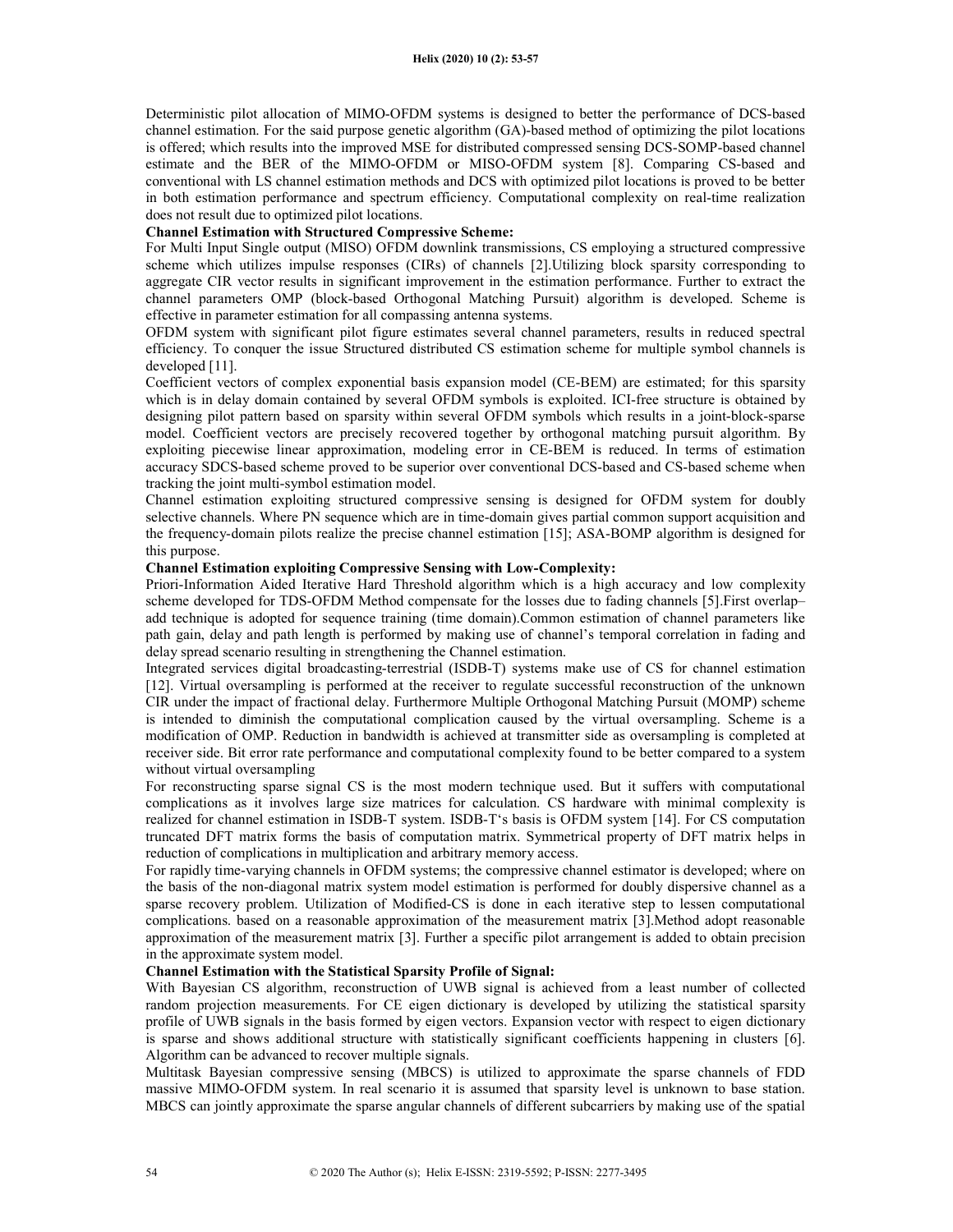Deterministic pilot allocation of MIMO-OFDM systems is designed to better the performance of DCS-based channel estimation. For the said purpose genetic algorithm (GA)-based method of optimizing the pilot locations is offered; which results into the improved MSE for distributed compressed sensing DCS-SOMP-based channel estimate and the BER of the MIMO-OFDM or MISO-OFDM system [8]. Comparing CS-based and conventional with LS channel estimation methods and DCS with optimized pilot locations is proved to be better in both estimation performance and spectrum efficiency. Computational complexity on real-time realization does not result due to optimized pilot locations.

# Channel Estimation with Structured Compressive Scheme:

For Multi Input Single output (MISO) OFDM downlink transmissions, CS employing a structured compressive scheme which utilizes impulse responses (CIRs) of channels [2].Utilizing block sparsity corresponding to aggregate CIR vector results in significant improvement in the estimation performance. Further to extract the channel parameters OMP (block-based Orthogonal Matching Pursuit) algorithm is developed. Scheme is effective in parameter estimation for all compassing antenna systems.

OFDM system with significant pilot figure estimates several channel parameters, results in reduced spectral efficiency. To conquer the issue Structured distributed CS estimation scheme for multiple symbol channels is developed [11].

Coefficient vectors of complex exponential basis expansion model (CE-BEM) are estimated; for this sparsity which is in delay domain contained by several OFDM symbols is exploited. ICI-free structure is obtained by designing pilot pattern based on sparsity within several OFDM symbols which results in a joint-block-sparse model. Coefficient vectors are precisely recovered together by orthogonal matching pursuit algorithm. By exploiting piecewise linear approximation, modeling error in CE-BEM is reduced. In terms of estimation accuracy SDCS-based scheme proved to be superior over conventional DCS-based and CS-based scheme when tracking the joint multi-symbol estimation model.

Channel estimation exploiting structured compressive sensing is designed for OFDM system for doubly selective channels. Where PN sequence which are in time-domain gives partial common support acquisition and the frequency-domain pilots realize the precise channel estimation [15]; ASA-BOMP algorithm is designed for this purpose.

## Channel Estimation exploiting Compressive Sensing with Low-Complexity:

Priori-Information Aided Iterative Hard Threshold algorithm which is a high accuracy and low complexity scheme developed for TDS-OFDM Method compensate for the losses due to fading channels [5].First overlap– add technique is adopted for sequence training (time domain).Common estimation of channel parameters like path gain, delay and path length is performed by making use of channel's temporal correlation in fading and delay spread scenario resulting in strengthening the Channel estimation.

Integrated services digital broadcasting-terrestrial (ISDB-T) systems make use of CS for channel estimation [12]. Virtual oversampling is performed at the receiver to regulate successful reconstruction of the unknown CIR under the impact of fractional delay. Furthermore Multiple Orthogonal Matching Pursuit (MOMP) scheme is intended to diminish the computational complication caused by the virtual oversampling. Scheme is a modification of OMP. Reduction in bandwidth is achieved at transmitter side as oversampling is completed at receiver side. Bit error rate performance and computational complexity found to be better compared to a system without virtual oversampling

For reconstructing sparse signal CS is the most modern technique used. But it suffers with computational complications as it involves large size matrices for calculation. CS hardware with minimal complexity is realized for channel estimation in ISDB-T system. ISDB-T's basis is OFDM system [14]. For CS computation truncated DFT matrix forms the basis of computation matrix. Symmetrical property of DFT matrix helps in reduction of complications in multiplication and arbitrary memory access.

For rapidly time-varying channels in OFDM systems; the compressive channel estimator is developed; where on the basis of the non-diagonal matrix system model estimation is performed for doubly dispersive channel as a sparse recovery problem. Utilization of Modified-CS is done in each iterative step to lessen computational complications. based on a reasonable approximation of the measurement matrix [3].Method adopt reasonable approximation of the measurement matrix [3]. Further a specific pilot arrangement is added to obtain precision in the approximate system model.

## Channel Estimation with the Statistical Sparsity Profile of Signal:

With Bayesian CS algorithm, reconstruction of UWB signal is achieved from a least number of collected random projection measurements. For CE eigen dictionary is developed by utilizing the statistical sparsity profile of UWB signals in the basis formed by eigen vectors. Expansion vector with respect to eigen dictionary is sparse and shows additional structure with statistically significant coefficients happening in clusters [6]. Algorithm can be advanced to recover multiple signals.

Multitask Bayesian compressive sensing (MBCS) is utilized to approximate the sparse channels of FDD massive MIMO-OFDM system. In real scenario it is assumed that sparsity level is unknown to base station. MBCS can jointly approximate the sparse angular channels of different subcarriers by making use of the spatial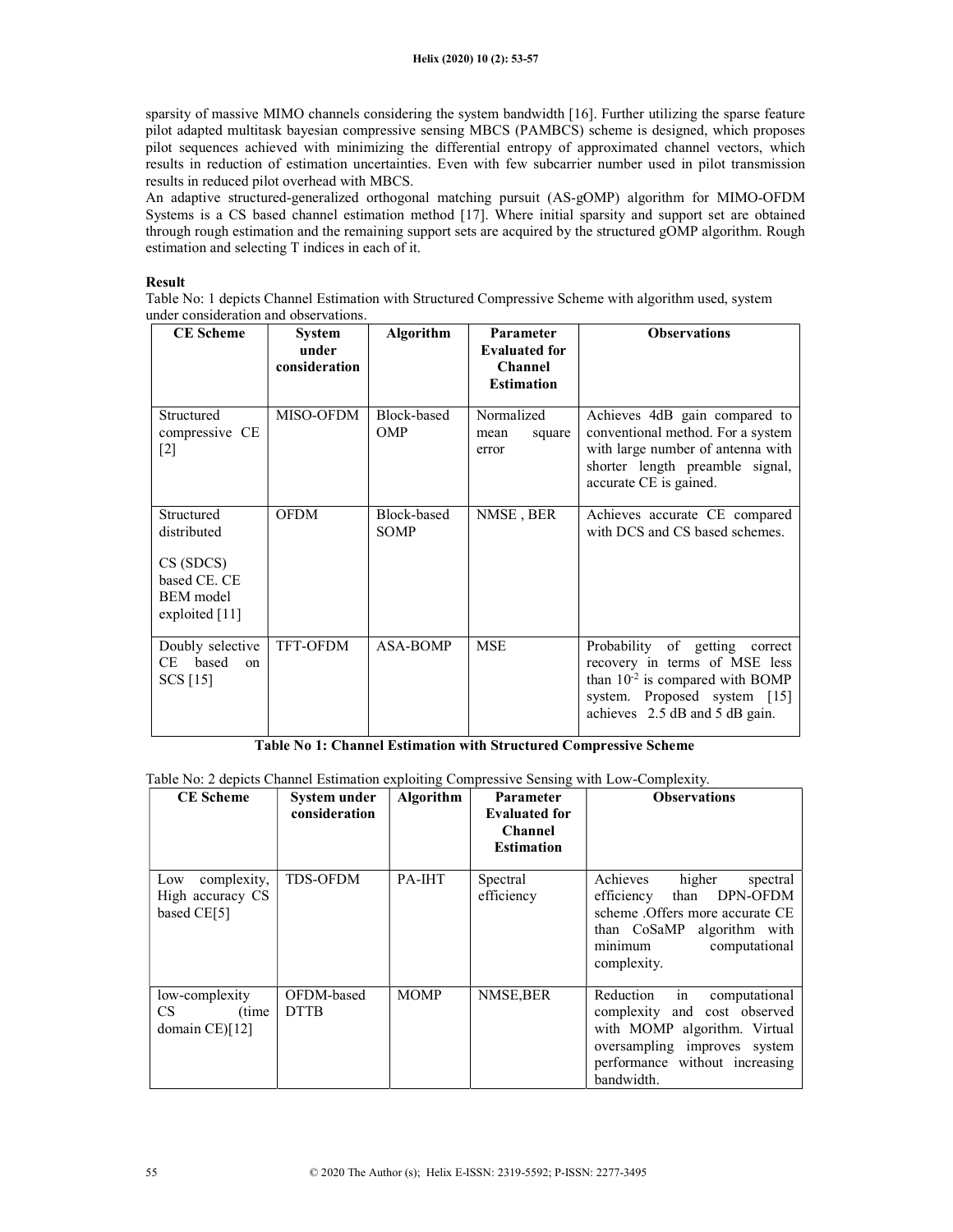sparsity of massive MIMO channels considering the system bandwidth [16]. Further utilizing the sparse feature pilot adapted multitask bayesian compressive sensing MBCS (PAMBCS) scheme is designed, which proposes pilot sequences achieved with minimizing the differential entropy of approximated channel vectors, which results in reduction of estimation uncertainties. Even with few subcarrier number used in pilot transmission results in reduced pilot overhead with MBCS.

An adaptive structured-generalized orthogonal matching pursuit (AS-gOMP) algorithm for MIMO-OFDM Systems is a CS based channel estimation method [17]. Where initial sparsity and support set are obtained through rough estimation and the remaining support sets are acquired by the structured gOMP algorithm. Rough estimation and selecting T indices in each of it.

## Result

Table No: 1 depicts Channel Estimation with Structured Compressive Scheme with algorithm used, system under consideration and observations.

| <b>CE</b> Scheme                                                                              | <b>System</b><br>under<br>consideration | <b>Algorithm</b>           | Parameter<br><b>Evaluated for</b><br><b>Channel</b><br><b>Estimation</b> | <b>Observations</b>                                                                                                                                                       |
|-----------------------------------------------------------------------------------------------|-----------------------------------------|----------------------------|--------------------------------------------------------------------------|---------------------------------------------------------------------------------------------------------------------------------------------------------------------------|
| Structured<br>compressive CE<br>$[2]$                                                         | MISO-OFDM                               | Block-based<br><b>OMP</b>  | Normalized<br>square<br>mean<br>error                                    | Achieves 4dB gain compared to<br>conventional method. For a system<br>with large number of antenna with<br>shorter length preamble signal,<br>accurate CE is gained.      |
| Structured<br>distributed<br>CS(SDCS)<br>based CE. CE<br><b>BEM</b> model<br>exploited $[11]$ | <b>OFDM</b>                             | Block-based<br><b>SOMP</b> | NMSE, BER                                                                | Achieves accurate CE compared<br>with DCS and CS based schemes.                                                                                                           |
| Doubly selective<br>CE based<br><sub>on</sub><br>SCS [15]                                     | <b>TFT-OFDM</b>                         | <b>ASA-BOMP</b>            | <b>MSE</b>                                                               | Probability of getting correct<br>recovery in terms of MSE less<br>than $10^{-2}$ is compared with BOMP<br>system. Proposed system [15]<br>achieves 2.5 dB and 5 dB gain. |

Table No 1: Channel Estimation with Structured Compressive Scheme

Table No: 2 depicts Channel Estimation exploiting Compressive Sensing with Low-Complexity.

| <b>CE</b> Scheme                                      | System under<br>consideration | Algorithm   | Parameter<br><b>Evaluated for</b><br><b>Channel</b><br><b>Estimation</b> | <b>Observations</b>                                                                                                                                                              |
|-------------------------------------------------------|-------------------------------|-------------|--------------------------------------------------------------------------|----------------------------------------------------------------------------------------------------------------------------------------------------------------------------------|
| complexity,<br>Low<br>High accuracy CS<br>based CE[5] | <b>TDS-OFDM</b>               | PA-IHT      | Spectral<br>efficiency                                                   | Achieves<br>higher<br>spectral<br>DPN-OFDM<br>than<br>efficiency<br>scheme . Offers more accurate CE<br>than CoSaMP<br>algorithm with<br>minimum<br>computational<br>complexity. |
| low-complexity<br>CS.<br>(time)<br>domain $CE$ $[12]$ | OFDM-based<br><b>DTTB</b>     | <b>MOMP</b> | NMSE, BER                                                                | in<br>Reduction<br>computational<br>complexity and cost observed<br>with MOMP algorithm. Virtual<br>oversampling improves system<br>performance without increasing<br>bandwidth. |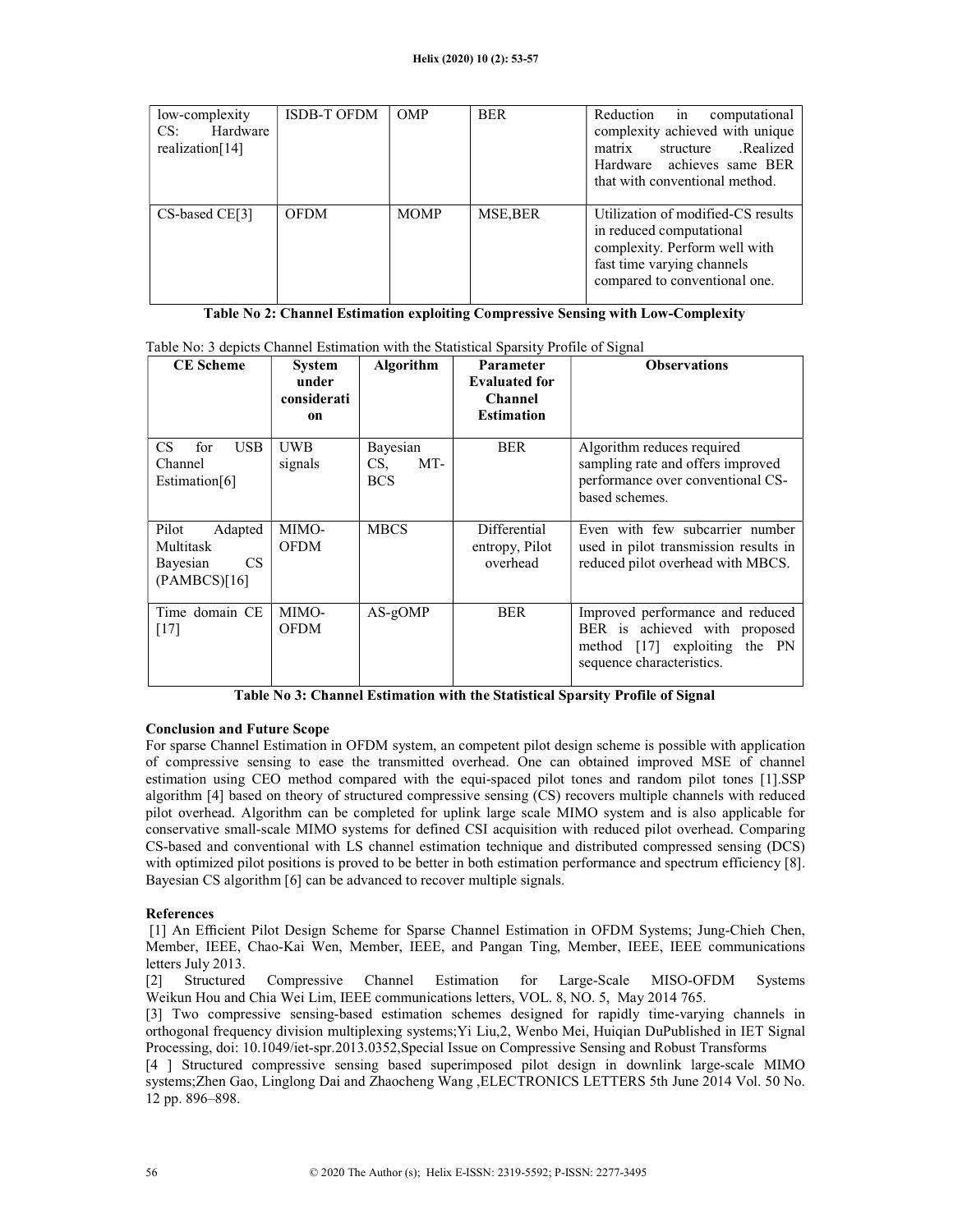| low-complexity  | <b>ISDB-T OFDM</b> | <b>OMP</b>  | <b>BER</b> | Reduction in computational         |
|-----------------|--------------------|-------------|------------|------------------------------------|
| Hardware<br>CS: |                    |             |            | complexity achieved with unique    |
| realization[14] |                    |             |            | structure .Realized<br>matrix      |
|                 |                    |             |            | Hardware achieves same BER         |
|                 |                    |             |            | that with conventional method.     |
|                 |                    |             |            |                                    |
| CS-based CE[3]  | <b>OFDM</b>        | <b>MOMP</b> | MSE, BER   | Utilization of modified-CS results |
|                 |                    |             |            | in reduced computational           |
|                 |                    |             |            | complexity. Perform well with      |
|                 |                    |             |            | fast time varying channels         |
|                 |                    |             |            | compared to conventional one.      |
|                 |                    |             |            |                                    |

# Table No 2: Channel Estimation exploiting Compressive Sensing with Low-Complexity

| <b>CE</b> Scheme                                                       | <b>System</b><br>under<br>considerati<br>on | <b>Algorithm</b>                     | <b>Parameter</b><br><b>Evaluated for</b><br><b>Channel</b><br><b>Estimation</b> | <b>Observations</b>                                                                                                             |
|------------------------------------------------------------------------|---------------------------------------------|--------------------------------------|---------------------------------------------------------------------------------|---------------------------------------------------------------------------------------------------------------------------------|
| <b>USB</b><br>CS.<br>for<br>Channel<br>Estimation[6]                   | <b>UWB</b><br>signals                       | Bayesian<br>MT-<br>CS,<br><b>BCS</b> | <b>BER</b>                                                                      | Algorithm reduces required<br>sampling rate and offers improved<br>performance over conventional CS-<br>based schemes.          |
| Pilot<br>Adapted<br>Multitask<br><b>CS</b><br>Bayesian<br>(PAMBCS)[16] | MIMO-<br><b>OFDM</b>                        | <b>MBCS</b>                          | Differential<br>entropy, Pilot<br>overhead                                      | Even with few subcarrier number<br>used in pilot transmission results in<br>reduced pilot overhead with MBCS.                   |
| Time domain CE<br>[17]                                                 | MIMO-<br><b>OFDM</b>                        | $AS-gOMP$                            | <b>BER</b>                                                                      | Improved performance and reduced<br>BER is achieved with proposed<br>method [17] exploiting the PN<br>sequence characteristics. |

Table No: 3 depicts Channel Estimation with the Statistical Sparsity Profile of Signal

## Table No 3: Channel Estimation with the Statistical Sparsity Profile of Signal

## Conclusion and Future Scope

For sparse Channel Estimation in OFDM system, an competent pilot design scheme is possible with application of compressive sensing to ease the transmitted overhead. One can obtained improved MSE of channel estimation using CEO method compared with the equi-spaced pilot tones and random pilot tones [1].SSP algorithm [4] based on theory of structured compressive sensing (CS) recovers multiple channels with reduced pilot overhead. Algorithm can be completed for uplink large scale MIMO system and is also applicable for conservative small-scale MIMO systems for defined CSI acquisition with reduced pilot overhead. Comparing CS-based and conventional with LS channel estimation technique and distributed compressed sensing (DCS) with optimized pilot positions is proved to be better in both estimation performance and spectrum efficiency [8]. Bayesian CS algorithm [6] can be advanced to recover multiple signals.

## References

 [1] An Efficient Pilot Design Scheme for Sparse Channel Estimation in OFDM Systems; Jung-Chieh Chen, Member, IEEE, Chao-Kai Wen, Member, IEEE, and Pangan Ting, Member, IEEE, IEEE communications letters July 2013.

[2] Structured Compressive Channel Estimation for Large-Scale MISO-OFDM Systems Weikun Hou and Chia Wei Lim, IEEE communications letters, VOL. 8, NO. 5, May 2014 765.

[3] Two compressive sensing-based estimation schemes designed for rapidly time-varying channels in orthogonal frequency division multiplexing systems;Yi Liu,2, Wenbo Mei, Huiqian DuPublished in IET Signal Processing, doi: 10.1049/iet-spr.2013.0352,Special Issue on Compressive Sensing and Robust Transforms

[4 ] Structured compressive sensing based superimposed pilot design in downlink large-scale MIMO systems;Zhen Gao, Linglong Dai and Zhaocheng Wang ,ELECTRONICS LETTERS 5th June 2014 Vol. 50 No. 12 pp. 896–898.